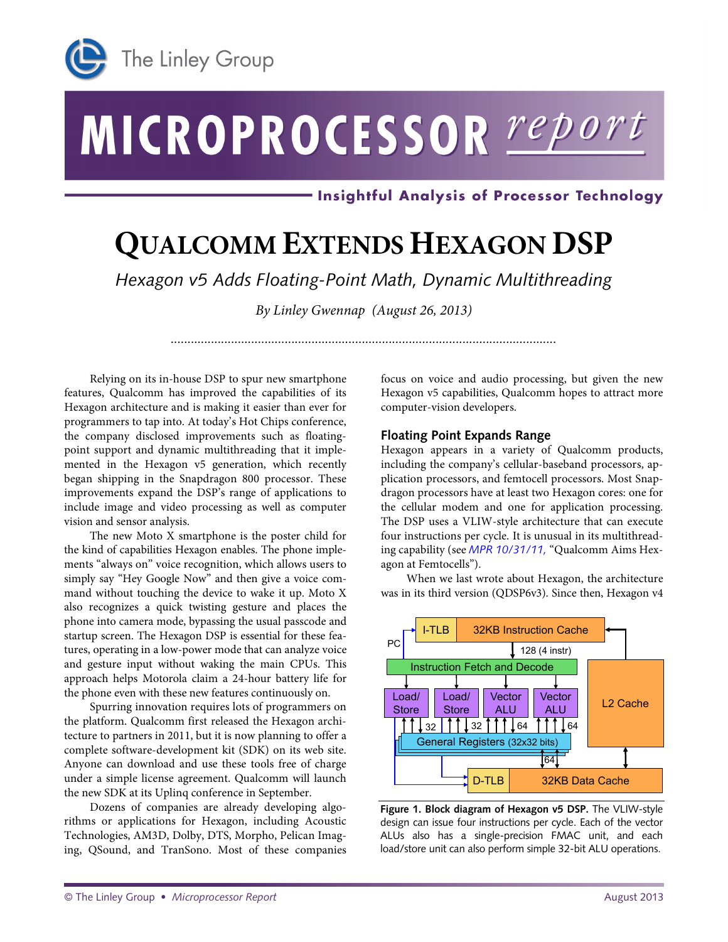

# MICROPROCESSOR report

· Insightful Analysis of Processor Technology

## **QUALCOMM EXTENDS HEXAGON DSP**

*Hexagon v5 Adds Floating-Point Math, Dynamic Multithreading*

*By Linley Gwennap (August 26, 2013)*

*...................................................................................................................*

Relying on its in-house DSP to spur new smartphone features, Qualcomm has improved the capabilities of its Hexagon architecture and is making it easier than ever for programmers to tap into. At today's Hot Chips conference, the company disclosed improvements such as floatingpoint support and dynamic multithreading that it implemented in the Hexagon v5 generation, which recently began shipping in the Snapdragon 800 processor. These improvements expand the DSP's range of applications to include image and video processing as well as computer vision and sensor analysis.

The new Moto X smartphone is the poster child for the kind of capabilities Hexagon enables. The phone implements "always on" voice recognition, which allows users to simply say "Hey Google Now" and then give a voice command without touching the device to wake it up. Moto X also recognizes a quick twisting gesture and places the phone into camera mode, bypassing the usual passcode and startup screen. The Hexagon DSP is essential for these features, operating in a low-power mode that can analyze voice and gesture input without waking the main CPUs. This approach helps Motorola claim a 24-hour battery life for the phone even with these new features continuously on.

Spurring innovation requires lots of programmers on the platform. Qualcomm first released the Hexagon architecture to partners in 2011, but it is now planning to offer a complete software-development kit (SDK) on its web site. Anyone can download and use these tools free of charge under a simple license agreement. Qualcomm will launch the new SDK at its Uplinq conference in September.

Dozens of companies are already developing algorithms or applications for Hexagon, including Acoustic Technologies, AM3D, Dolby, DTS, Morpho, Pelican Imaging, QSound, and TranSono. Most of these companies focus on voice and audio processing, but given the new Hexagon v5 capabilities, Qualcomm hopes to attract more computer-vision developers.

#### **Floating Point Expands Range**

Hexagon appears in a variety of Qualcomm products, including the company's cellular-baseband processors, application processors, and femtocell processors. Most Snapdragon processors have at least two Hexagon cores: one for the cellular modem and one for application processing. The DSP uses a VLIW-style architecture that can execute four instructions per cycle. It is unusual in its multithreading capability (see *[MPR 10/31/11,](http://www.linleygroup.com/mpr/article.php?id=10821)* "Qualcomm Aims Hexagon at Femtocells").

When we last wrote about Hexagon, the architecture was in its third version (QDSP6v3). Since then, Hexagon v4



**Figure 1. Block diagram of Hexagon v5 DSP.** The VLIW-style design can issue four instructions per cycle. Each of the vector ALUs also has a single-precision FMAC unit, and each load/store unit can also perform simple 32-bit ALU operations.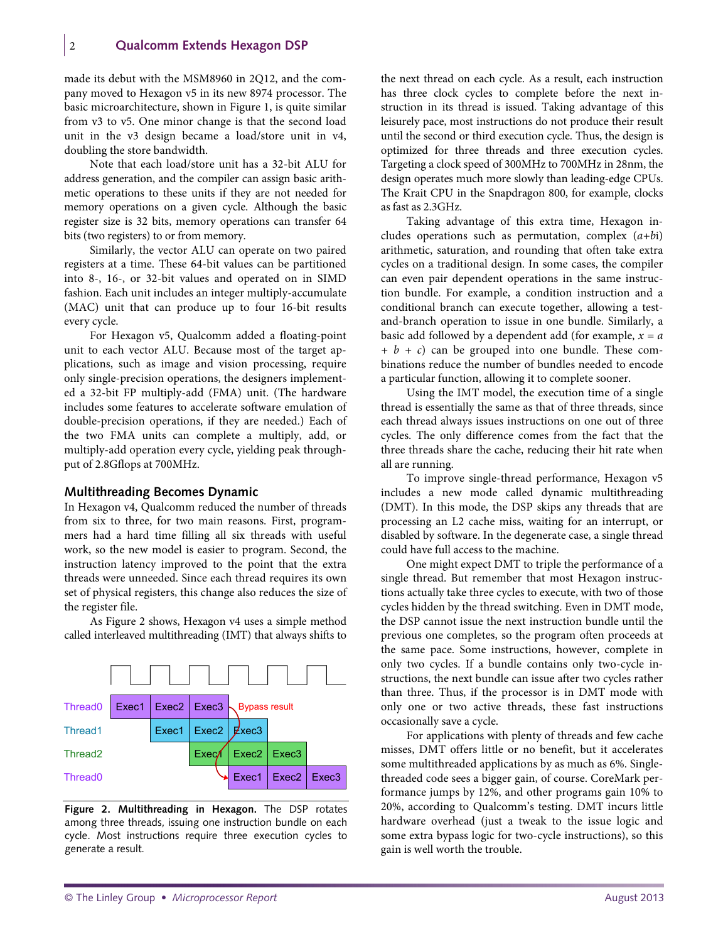made its debut with the MSM8960 in 2Q12, and the company moved to Hexagon v5 in its new 8974 processor. The basic microarchitecture, shown in Figure 1, is quite similar from v3 to v5. One minor change is that the second load unit in the v3 design became a load/store unit in v4, doubling the store bandwidth.

Note that each load/store unit has a 32-bit ALU for address generation, and the compiler can assign basic arithmetic operations to these units if they are not needed for memory operations on a given cycle. Although the basic register size is 32 bits, memory operations can transfer 64 bits (two registers) to or from memory.

Similarly, the vector ALU can operate on two paired registers at a time. These 64-bit values can be partitioned into 8-, 16-, or 32-bit values and operated on in SIMD fashion. Each unit includes an integer multiply-accumulate (MAC) unit that can produce up to four 16-bit results every cycle.

For Hexagon v5, Qualcomm added a floating-point unit to each vector ALU. Because most of the target applications, such as image and vision processing, require only single-precision operations, the designers implemented a 32-bit FP multiply-add (FMA) unit. (The hardware includes some features to accelerate software emulation of double-precision operations, if they are needed.) Each of the two FMA units can complete a multiply, add, or multiply-add operation every cycle, yielding peak throughput of 2.8Gflops at 700MHz.

#### **Multithreading Becomes Dynamic**

In Hexagon v4, Qualcomm reduced the number of threads from six to three, for two main reasons. First, programmers had a hard time filling all six threads with useful work, so the new model is easier to program. Second, the instruction latency improved to the point that the extra threads were unneeded. Since each thread requires its own set of physical registers, this change also reduces the size of the register file.

As Figure 2 shows, Hexagon v4 uses a simple method called interleaved multithreading (IMT) that always shifts to



**Figure 2. Multithreading in Hexagon.** The DSP rotates among three threads, issuing one instruction bundle on each cycle. Most instructions require three execution cycles to generate a result.

the next thread on each cycle. As a result, each instruction has three clock cycles to complete before the next instruction in its thread is issued. Taking advantage of this leisurely pace, most instructions do not produce their result until the second or third execution cycle. Thus, the design is optimized for three threads and three execution cycles. Targeting a clock speed of 300MHz to 700MHz in 28nm, the design operates much more slowly than leading-edge CPUs. The Krait CPU in the Snapdragon 800, for example, clocks as fast as 2.3GHz.

Taking advantage of this extra time, Hexagon includes operations such as permutation, complex (*a+b*i) arithmetic, saturation, and rounding that often take extra cycles on a traditional design. In some cases, the compiler can even pair dependent operations in the same instruction bundle. For example, a condition instruction and a conditional branch can execute together, allowing a testand-branch operation to issue in one bundle. Similarly, a basic add followed by a dependent add (for example,  $x = a$ *+ b + c*) can be grouped into one bundle. These combinations reduce the number of bundles needed to encode a particular function, allowing it to complete sooner.

Using the IMT model, the execution time of a single thread is essentially the same as that of three threads, since each thread always issues instructions on one out of three cycles. The only difference comes from the fact that the three threads share the cache, reducing their hit rate when all are running.

To improve single-thread performance, Hexagon v5 includes a new mode called dynamic multithreading (DMT). In this mode, the DSP skips any threads that are processing an L2 cache miss, waiting for an interrupt, or disabled by software. In the degenerate case, a single thread could have full access to the machine.

One might expect DMT to triple the performance of a single thread. But remember that most Hexagon instructions actually take three cycles to execute, with two of those cycles hidden by the thread switching. Even in DMT mode, the DSP cannot issue the next instruction bundle until the previous one completes, so the program often proceeds at the same pace. Some instructions, however, complete in only two cycles. If a bundle contains only two-cycle instructions, the next bundle can issue after two cycles rather than three. Thus, if the processor is in DMT mode with only one or two active threads, these fast instructions occasionally save a cycle.

For applications with plenty of threads and few cache misses, DMT offers little or no benefit, but it accelerates some multithreaded applications by as much as 6%. Singlethreaded code sees a bigger gain, of course. CoreMark performance jumps by 12%, and other programs gain 10% to 20%, according to Qualcomm's testing. DMT incurs little hardware overhead (just a tweak to the issue logic and some extra bypass logic for two-cycle instructions), so this gain is well worth the trouble.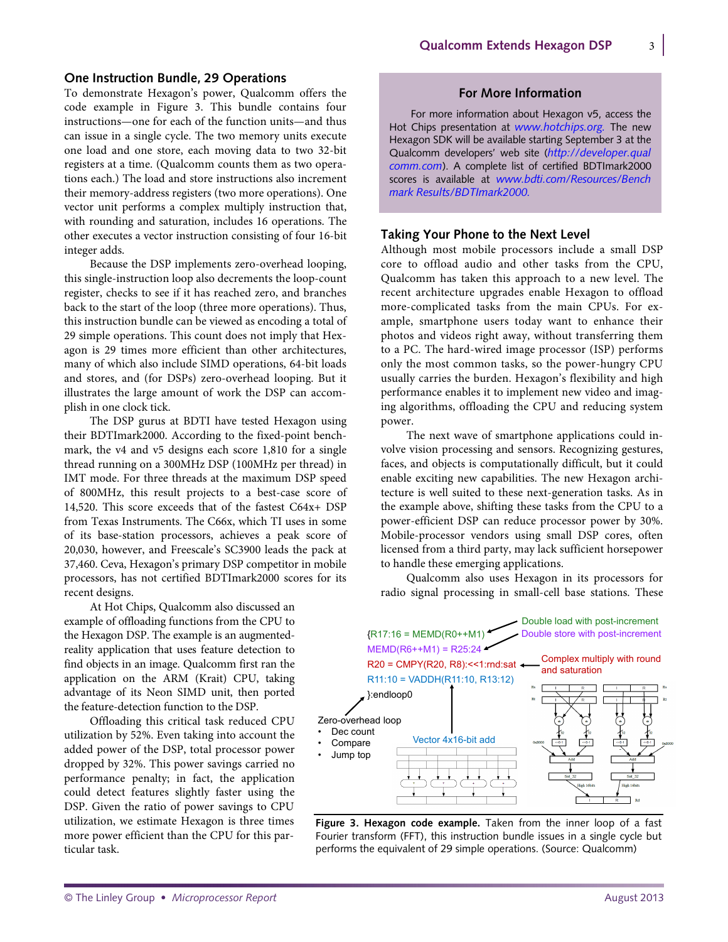#### **One Instruction Bundle, 29 Operations**

To demonstrate Hexagon's power, Qualcomm offers the code example in Figure 3. This bundle contains four instructions—one for each of the function units—and thus can issue in a single cycle. The two memory units execute one load and one store, each moving data to two 32-bit registers at a time. (Qualcomm counts them as two operations each.) The load and store instructions also increment their memory-address registers (two more operations). One vector unit performs a complex multiply instruction that, with rounding and saturation, includes 16 operations. The other executes a vector instruction consisting of four 16-bit integer adds.

Because the DSP implements zero-overhead looping, this single-instruction loop also decrements the loop-count register, checks to see if it has reached zero, and branches back to the start of the loop (three more operations). Thus, this instruction bundle can be viewed as encoding a total of 29 simple operations. This count does not imply that Hexagon is 29 times more efficient than other architectures, many of which also include SIMD operations, 64-bit loads and stores, and (for DSPs) zero-overhead looping. But it illustrates the large amount of work the DSP can accomplish in one clock tick.

The DSP gurus at BDTI have tested Hexagon using their BDTImark2000. According to the fixed-point benchmark, the v4 and v5 designs each score 1,810 for a single thread running on a 300MHz DSP (100MHz per thread) in IMT mode. For three threads at the maximum DSP speed of 800MHz, this result projects to a best-case score of 14,520. This score exceeds that of the fastest C64x+ DSP from Texas Instruments. The C66x, which TI uses in some of its base-station processors, achieves a peak score of 20,030, however, and Freescale's SC3900 leads the pack at 37,460. Ceva, Hexagon's primary DSP competitor in mobile processors, has not certified BDTImark2000 scores for its recent designs.

At Hot Chips, Qualcomm also discussed an example of offloading functions from the CPU to the Hexagon DSP. The example is an augmentedreality application that uses feature detection to find objects in an image. Qualcomm first ran the application on the ARM (Krait) CPU, taking advantage of its Neon SIMD unit, then ported the feature-detection function to the DSP.

Offloading this critical task reduced CPU utilization by 52%. Even taking into account the added power of the DSP, total processor power dropped by 32%. This power savings carried no performance penalty; in fact, the application could detect features slightly faster using the DSP. Given the ratio of power savings to CPU utilization, we estimate Hexagon is three times more power efficient than the CPU for this particular task.

#### **For More Information**

For more information about Hexagon v5, access the Hot Chips presentation at *[www.hotchips.org.](http://www.hotchips.org/)* The new Hexagon SDK will be available starting September 3 at the Qualcomm developers' web site (*http://developer.qual comm.com*[\). A complete list of certified BDTImark2000](http://developer.qualcomm.com)  scores is available at *www.bdti.com/Resources/Bench [mark Results/BDTImark2000.](www.bdti.com/Resources/BenchmarkResults/BDTImark2000)*

#### **Taking Your Phone to the Next Level**

Although most mobile processors include a small DSP core to offload audio and other tasks from the CPU, Qualcomm has taken this approach to a new level. The recent architecture upgrades enable Hexagon to offload more-complicated tasks from the main CPUs. For example, smartphone users today want to enhance their photos and videos right away, without transferring them to a PC. The hard-wired image processor (ISP) performs only the most common tasks, so the power-hungry CPU usually carries the burden. Hexagon's flexibility and high performance enables it to implement new video and imaging algorithms, offloading the CPU and reducing system power.

The next wave of smartphone applications could involve vision processing and sensors. Recognizing gestures, faces, and objects is computationally difficult, but it could enable exciting new capabilities. The new Hexagon architecture is well suited to these next-generation tasks. As in the example above, shifting these tasks from the CPU to a power-efficient DSP can reduce processor power by 30%. Mobile-processor vendors using small DSP cores, often licensed from a third party, may lack sufficient horsepower to handle these emerging applications.

Qualcomm also uses Hexagon in its processors for radio signal processing in small-cell base stations. These



**Figure 3. Hexagon code example.** Taken from the inner loop of a fast Fourier transform (FFT), this instruction bundle issues in a single cycle but performs the equivalent of 29 simple operations. (Source: Qualcomm)